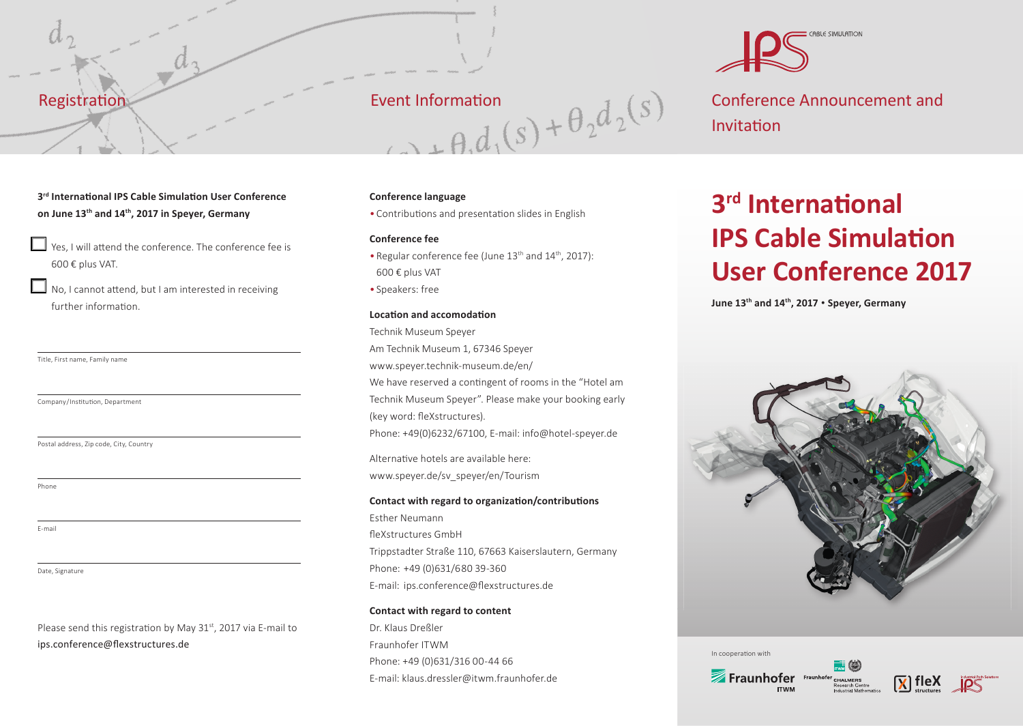### Registration

### 3<sup>rd</sup> International IPS Cable Simulation User Conference **on June 13th and 14th, 2017 in Speyer, Germany**

- $\Box$  Yes, I will attend the conference. The conference fee is 600 € plus VAT.
- $\Box$  No, I cannot attend, but I am interested in receiving further information.

Title, First name, Family name

Company/Institution, Department

Postal address, Zip code, City, Country

Phone

E-mail

Date, Signature

Please send this registration by May  $31<sup>st</sup>$ , 2017 via E-mail to ips.conference@flexstructures.de

Event Information<br>  $A + \theta_1 d_1(s) + \theta_2 d_2(s)$ 

### **Conference language**

• Contributions and presentation slides in English

### **Conference fee**

- Regular conference fee (June 13<sup>th</sup> and 14<sup>th</sup>, 2017): 600 € plus VAT
- Speakers: free

### **Location and accomodation**

Technik Museum Speyer Am Technik Museum 1, 67346 Speyer www.speyer.technik-museum.de/en/ We have reserved a contingent of rooms in the "Hotel am Technik Museum Speyer". Please make your booking early (key word: fleXstructures). Phone: +49(0)6232/67100, E-mail: info@hotel-speyer.de

Alternative hotels are available here: www.speyer.de/sv\_speyer/en/Tourism

### **Contact with regard to organization/contributions**

Esther Neumann fleXstructures GmbH Trippstadter Straße 110, 67663 Kaiserslautern, Germany Phone: +49 (0)631/6 80 39-360 E-mail: ips.conference@flexstructures.de

### **Contact with regard to content**

Dr. Klaus Dreßler Fraunhofer ITWM Phone: +49 (0)631/316 00-44 66 E-mail: klaus.dressler@itwm.fraunhofer.de



Conference Announcement and Invitation

## **3rd** International **IPS Cable Simulation User Conference 2017**

**June 13th and 14th, 2017** • **Speyer, Germany**



In cooperation with



Industrial Path Solutions